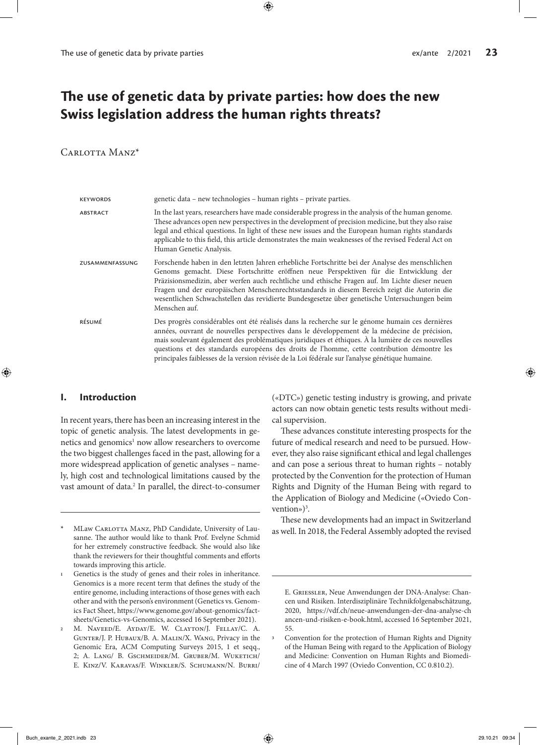# **The use of genetic data by private parties: how does the new Swiss legislation address the human rights threats?**

# CARLOTTA MANZ<sup>\*</sup>

| <b>KEYWORDS</b> | genetic data – new technologies – human rights – private parties.                                                                                                                                                                                                                                                                                                                                                                                                                                          |
|-----------------|------------------------------------------------------------------------------------------------------------------------------------------------------------------------------------------------------------------------------------------------------------------------------------------------------------------------------------------------------------------------------------------------------------------------------------------------------------------------------------------------------------|
| <b>ABSTRACT</b> | In the last years, researchers have made considerable progress in the analysis of the human genome.<br>These advances open new perspectives in the development of precision medicine, but they also raise<br>legal and ethical questions. In light of these new issues and the European human rights standards<br>applicable to this field, this article demonstrates the main weaknesses of the revised Federal Act on<br>Human Genetic Analysis.                                                         |
| ZUSAMMENFASSUNG | Forschende haben in den letzten Jahren erhebliche Fortschritte bei der Analyse des menschlichen<br>Genoms gemacht. Diese Fortschritte eröffnen neue Perspektiven für die Entwicklung der<br>Präzisionsmedizin, aber werfen auch rechtliche und ethische Fragen auf. Im Lichte dieser neuen<br>Fragen und der europäischen Menschenrechtsstandards in diesem Bereich zeigt die Autorin die<br>wesentlichen Schwachstellen das revidierte Bundesgesetze über genetische Untersuchungen beim<br>Menschen auf. |
| RÉSUMÉ          | Des progrès considérables ont été réalisés dans la recherche sur le génome humain ces dernières<br>années, ouvrant de nouvelles perspectives dans le développement de la médecine de précision,<br>mais soulevant également des problématiques juridiques et éthiques. À la lumière de ces nouvelles<br>questions et des standards européens des droits de l'homme, cette contribution démontre les<br>principales faiblesses de la version révisée de la Loi fédérale sur l'analyse génétique humaine.    |

### **I. Introduction**

In recent years, there has been an increasing interest in the topic of genetic analysis. The latest developments in genetics and genomics<sup>1</sup> now allow researchers to overcome the two biggest challenges faced in the past, allowing for a more widespread application of genetic analyses – namely, high cost and technological limitations caused by the vast amount of data.<sup>2</sup> In parallel, the direct-to-consumer

**\*** MLaw Carlotta Manz, PhD Candidate, University of Lausanne. The author would like to thank Prof. Evelyne Schmid for her extremely constructive feedback. She would also like thank the reviewers for their thoughtful comments and efforts towards improving this article.

- **<sup>1</sup>** Genetics is the study of genes and their roles in inheritance. Genomics is a more recent term that defines the study of the entire genome, including interactions of those genes with each other and with the person's environment (Genetics vs. Genomics Fact Sheet, https://www.genome.gov/about-genomics/factsheets/Genetics-vs-Genomics, accessed 16 September 2021).
- **<sup>2</sup>** M. Naveed/E. Ayday/E. W. Clayton/J. Fellay/C. A. Gunter/J. P. Hubaux/B. A. Malin/X. Wang, Privacy in the Genomic Era, ACM Computing Surveys 2015, 1 et seqq., 2; A. Lang/ B. Gschmeider/M. Gruber/M. Wuketich/ E. Kinz/V. Karavas/F. Winkler/S. Schumann/N. Burri/

(«DTC») genetic testing industry is growing, and private actors can now obtain genetic tests results without medical supervision.

These advances constitute interesting prospects for the future of medical research and need to be pursued. However, they also raise significant ethical and legal challenges and can pose a serious threat to human rights – notably protected by the Convention for the protection of Human Rights and Dignity of the Human Being with regard to the Application of Biology and Medicine («Oviedo Convention» $)^3$ .

These new developments had an impact in Switzerland as well. In 2018, the Federal Assembly adopted the revised

E. Griessler, Neue Anwendungen der DNA-Analyse: Chancen und Risiken. Interdisziplinäre Technikfolgenabschätzung, 2020, https://vdf.ch/neue-anwendungen-der-dna-analyse-ch ancen-und-risiken-e-book.html, accessed 16 September 2021, 55.

**<sup>3</sup>** Convention for the protection of Human Rights and Dignity of the Human Being with regard to the Application of Biology and Medicine: Convention on Human Rights and Biomedicine of 4 March 1997 (Oviedo Convention, CC 0.810.2).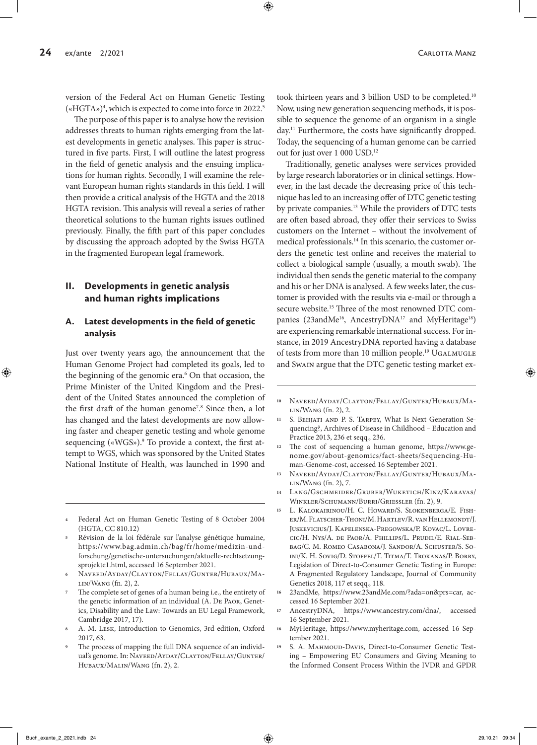version of the Federal Act on Human Genetic Testing («HGTA»)4 , which is expected to come into force in 2022.5

The purpose of this paper is to analyse how the revision addresses threats to human rights emerging from the latest developments in genetic analyses. This paper is structured in five parts. First, I will outline the latest progress in the field of genetic analysis and the ensuing implications for human rights. Secondly, I will examine the relevant European human rights standards in this field. I will then provide a critical analysis of the HGTA and the 2018 HGTA revision. This analysis will reveal a series of rather theoretical solutions to the human rights issues outlined previously. Finally, the fifth part of this paper concludes by discussing the approach adopted by the Swiss HGTA in the fragmented European legal framework.

# **II. Developments in genetic analysis and human rights implications**

### **A. Latest developments in the field of genetic analysis**

Just over twenty years ago, the announcement that the Human Genome Project had completed its goals, led to the beginning of the genomic era.<sup>6</sup> On that occasion, the Prime Minister of the United Kingdom and the President of the United States announced the completion of the first draft of the human genome<sup>7</sup>.<sup>8</sup> Since then, a lot has changed and the latest developments are now allowing faster and cheaper genetic testing and whole genome sequencing («WGS»).<sup>9</sup> To provide a context, the first attempt to WGS, which was sponsored by the United States National Institute of Health, was launched in 1990 and

- **<sup>4</sup>** Federal Act on Human Genetic Testing of 8 October 2004 (HGTA, CC 810.12)
- **<sup>5</sup>** Révision de la loi fédérale sur l'analyse génétique humaine, https://www.bag.admin.ch/bag/fr/home/medizin-undforschung/genetische-untersuchungen/aktuelle-rechtsetzungsprojekte1.html, accessed 16 September 2021.
- **<sup>6</sup>** Naveed/Ayday/Clayton/Fellay/Gunter/Hubaux/Malin/Wang (fn. 2), 2.
- **<sup>7</sup>** The complete set of genes of a human being i.e., the entirety of the genetic information of an individual (A. De Paor, Genetics, Disability and the Law: Towards an EU Legal Framework, Cambridge 2017, 17).
- **<sup>8</sup>** A. M. Lesk, Introduction to Genomics, 3rd edition, Oxford 2017, 63.
- The process of mapping the full DNA sequence of an individual's genome. In: NAVEED/AYDAY/CLAYTON/FELLAY/GUNTER/ Hubaux/Malin/Wang (fn. 2), 2.

took thirteen years and 3 billion USD to be completed.10 Now, using new generation sequencing methods, it is possible to sequence the genome of an organism in a single day.11 Furthermore, the costs have significantly dropped. Today, the sequencing of a human genome can be carried out for just over 1 000 USD.12

Traditionally, genetic analyses were services provided by large research laboratories or in clinical settings. However, in the last decade the decreasing price of this technique has led to an increasing offer of DTC genetic testing by private companies.13 While the providers of DTC tests are often based abroad, they offer their services to Swiss customers on the Internet – without the involvement of medical professionals.<sup>14</sup> In this scenario, the customer orders the genetic test online and receives the material to collect a biological sample (usually, a mouth swab). The individual then sends the genetic material to the company and his or her DNA is analysed. A few weeks later, the customer is provided with the results via e-mail or through a secure website.15 Three of the most renowned DTC companies (23andMe<sup>16</sup>, AncestryDNA<sup>17</sup> and MyHeritage<sup>18</sup>) are experiencing remarkable international success. For instance, in 2019 AncestryDNA reported having a database of tests from more than 10 million people.<sup>19</sup> UGALMUGLE and Swain argue that the DTC genetic testing market ex-

- **<sup>11</sup>** S. Behjati and P. S. Tarpey, What Is Next Generation Sequencing?, Archives of Disease in Childhood – Education and Practice 2013, 236 et seqq., 236.
- **<sup>12</sup>** The cost of sequencing a human genome, https://www.genome.gov/about-genomics/fact-sheets/Sequencing-Human-Genome-cost, accessed 16 September 2021.
- **<sup>13</sup>** Naveed/Ayday/Clayton/Fellay/Gunter/Hubaux/Malin/Wang (fn. 2), 7.
- **<sup>14</sup>** Lang/Gschmeider/Gruber/Wuketich/Kinz/Karavas/ Winkler/Schumann/Burri/Griessler (fn. 2), 9.
- **<sup>15</sup>** L. Kalokairinou/H. C. Howard/S. Slokenberga/E. Fisher/M. Flatscher-Thoni/M. Hartlev/R. van Hellemondt/J. Juskevicius/J. Kapelenska-Pregowska/P. Kovac/L. Lovrecic/H. Nys/A. de Paor/A. Phillips/L. Prudil/E. Rial-Sebbag/C. M. Romeo Casabona/J. Sandor/A. Schuster/S. Soini/K. H. Sovig/D. Stoffel/T. Titma/T. Trokanas/P. Borry, Legislation of Direct-to-Consumer Genetic Testing in Europe: A Fragmented Regulatory Landscape, Journal of Community Genetics 2018, 117 et seqq., 118.
- **<sup>16</sup>** 23andMe, https://www.23andMe.com/?ada=on&prs=car, accessed 16 September 2021.
- **<sup>17</sup>** AncestryDNA, https://www.ancestry.com/dna/, accessed 16 September 2021.
- **<sup>18</sup>** MyHeritage, https://www.myheritage.com, accessed 16 September 2021.
- **<sup>19</sup>** S. A. Mahmoud-Davis, Direct-to-Consumer Genetic Testing – Empowering EU Consumers and Giving Meaning to the Informed Consent Process Within the IVDR and GPDR

**<sup>10</sup>** Naveed/Ayday/Clayton/Fellay/Gunter/Hubaux/Malin/Wang (fn. 2), 2.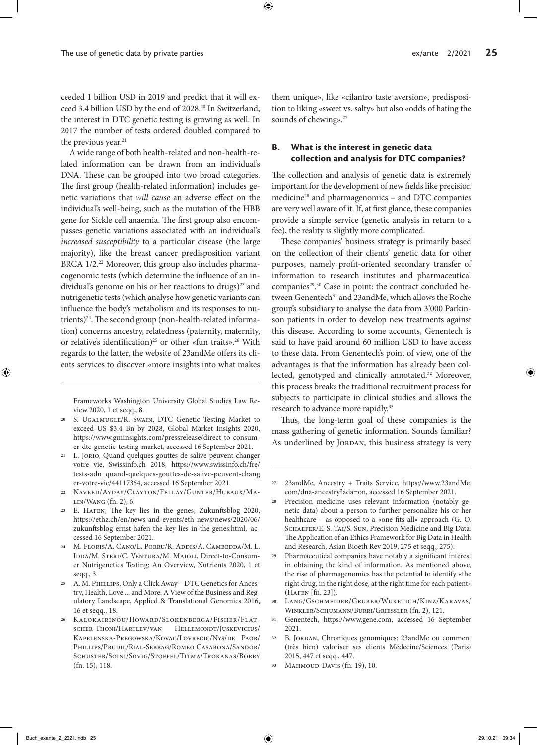ceeded 1 billion USD in 2019 and predict that it will exceed 3.4 billion USD by the end of 2028.20 In Switzerland, the interest in DTC genetic testing is growing as well. In 2017 the number of tests ordered doubled compared to the previous year.<sup>21</sup>

A wide range of both health-related and non-health-related information can be drawn from an individual's DNA. These can be grouped into two broad categories. The first group (health-related information) includes genetic variations that *will cause* an adverse effect on the individual's well-being, such as the mutation of the HBB gene for Sickle cell anaemia. The first group also encompasses genetic variations associated with an individual's *increased susceptibility* to a particular disease (the large majority), like the breast cancer predisposition variant BRCA 1/2.<sup>22</sup> Moreover, this group also includes pharmacogenomic tests (which determine the influence of an individual's genome on his or her reactions to drugs)<sup>23</sup> and nutrigenetic tests (which analyse how genetic variants can influence the body's metabolism and its responses to nutrients)<sup>24</sup>. The second group (non-health-related information) concerns ancestry, relatedness (paternity, maternity, or relative's identification)<sup>25</sup> or other «fun traits».<sup>26</sup> With regards to the latter, the website of 23andMe offers its clients services to discover «more insights into what makes

Frameworks Washington University Global Studies Law Review 2020, 1 et seqq., 8.

- **<sup>20</sup>** S. Ugalmugle/R. Swain, DTC Genetic Testing Market to exceed US \$3.4 Bn by 2028, Global Market Insights 2020, https://www.gminsights.com/pressrelease/direct-to-consumer-dtc-genetic-testing-market, accessed 16 September 2021.
- **<sup>21</sup>** L. Jorio, Quand quelques gouttes de salive peuvent changer votre vie, Swissinfo.ch 2018, https://www.swissinfo.ch/fre/ tests-adn\_quand-quelques-gouttes-de-salive-peuvent-chang er-votre-vie/44117364, accessed 16 September 2021.
- **<sup>22</sup>** Naveed/Ayday/Clayton/Fellay/Gunter/Hubaux/Malin/Wang (fn. 2), 6.
- **<sup>23</sup>** E. Hafen, The key lies in the genes, Zukunftsblog 2020, https://ethz.ch/en/news-and-events/eth-news/news/2020/06/ zukunftsblog-ernst-hafen-the-key-lies-in-the-genes.html, accessed 16 September 2021.
- **<sup>24</sup>** M. Floris/A. Cano/L. Porru/R. Addis/A. Cambedda/M. L. IDDA/M. STERI/C. VENTURA/M. MAIOLI, Direct-to-Consumer Nutrigenetics Testing: An Overview, Nutrients 2020, 1 et seqq., 3.
- **<sup>25</sup>** A. M. Phillips, Only a Click Away DTC Genetics for Ancestry, Health, Love ... and More: A View of the Business and Regulatory Landscape, Applied & Translational Genomics 2016, 16 et seqq., 18.
- **<sup>26</sup>** Kalokairinou/Howard/Slokenberga/Fisher/Flatscher-Thoni/Hartlev/van Hellemondt/Juskevicius/ Kapelenska-Pregowska/Kovac/Lovrecic/Nys/de Paor/ Phillips/Prudil/Rial-Sebbag/Romeo Casabona/Sandor/ Schuster/Soini/Sovig/Stoffel/Titma/Trokanas/Borry (fn. 15), 118.

them unique», like «cilantro taste aversion», predisposition to liking «sweet vs. salty» but also «odds of hating the sounds of chewing».<sup>27</sup>

# **B. What is the interest in genetic data collection and analysis for DTC companies?**

The collection and analysis of genetic data is extremely important for the development of new fields like precision medicine28 and pharmagenomics – and DTC companies are very well aware of it. If, at first glance, these companies provide a simple service (genetic analysis in return to a fee), the reality is slightly more complicated.

These companies' business strategy is primarily based on the collection of their clients' genetic data for other purposes, namely profit-oriented secondary transfer of information to research institutes and pharmaceutical companies<sup>29, 30</sup> Case in point: the contract concluded between Genentech<sup>31</sup> and 23andMe, which allows the Roche group's subsidiary to analyse the data from 3'000 Parkinson patients in order to develop new treatments against this disease. According to some accounts, Genentech is said to have paid around 60 million USD to have access to these data. From Genentech's point of view, one of the advantages is that the information has already been collected, genotyped and clinically annotated.32 Moreover, this process breaks the traditional recruitment process for subjects to participate in clinical studies and allows the research to advance more rapidly.<sup>33</sup>

Thus, the long-term goal of these companies is the mass gathering of genetic information. Sounds familiar? As underlined by JORDAN, this business strategy is very

- **<sup>30</sup>** Lang/Gschmeider/Gruber/Wuketich/Kinz/Karavas/ Winkler/Schumann/Burri/Griessler (fn. 2), 121.
- **<sup>31</sup>** Genentech, https://www.gene.com, accessed 16 September 2021.
- **<sup>32</sup>** B. Jordan, Chroniques genomiques: 23andMe ou comment (très bien) valoriser ses clients Médecine/Sciences (Paris) 2015, 447 et seqq., 447.
- **<sup>33</sup>** Mahmoud-Davis (fn. 19), 10.

**<sup>27</sup>** 23andMe, Ancestry + Traits Service, https://www.23andMe. com/dna-ancestry?ada=on, accessed 16 September 2021.

**<sup>28</sup>** Precision medicine uses relevant information (notably genetic data) about a person to further personalize his or her healthcare - as opposed to a «one fits all» approach (G. O. SCHAEFER/E. S. TAI/S. SUN, Precision Medicine and Big Data: The Application of an Ethics Framework for Big Data in Health and Research, Asian Bioeth Rev 2019, 275 et seqq., 275).

**<sup>29</sup>** Pharmaceutical companies have notably a significant interest in obtaining the kind of information. As mentioned above, the rise of pharmagenomics has the potential to identify «the right drug, in the right dose, at the right time for each patient» (Hafen [fn. 23]).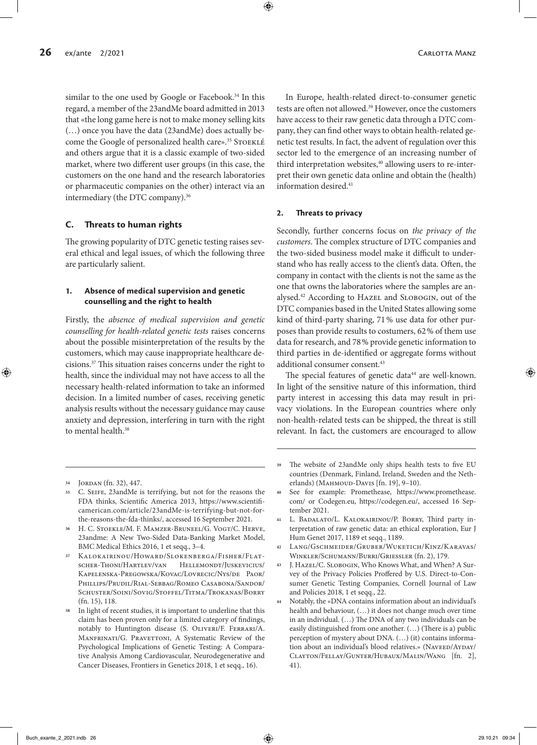similar to the one used by Google or Facebook.<sup>34</sup> In this regard, a member of the 23andMe board admitted in 2013 that «the long game here is not to make money selling kits (…) once you have the data (23andMe) does actually become the Google of personalized health care».<sup>35</sup> STOEKLÉ and others argue that it is a classic example of two-sided market, where two different user groups (in this case, the customers on the one hand and the research laboratories or pharmaceutic companies on the other) interact via an intermediary (the DTC company).<sup>36</sup>

### **C. Threats to human rights**

The growing popularity of DTC genetic testing raises several ethical and legal issues, of which the following three are particularly salient.

### **1. Absence of medical supervision and genetic counselling and the right to health**

Firstly, the *absence of medical supervision and genetic counselling for health-related genetic tests* raises concerns about the possible misinterpretation of the results by the customers, which may cause inappropriate healthcare decisions.37 This situation raises concerns under the right to health, since the individual may not have access to all the necessary health-related information to take an informed decision. In a limited number of cases, receiving genetic analysis results without the necessary guidance may cause anxiety and depression, interfering in turn with the right to mental health.<sup>38</sup>

#### **2. Threats to privacy**

Secondly, further concerns focus on *the privacy of the customers*. The complex structure of DTC companies and the two-sided business model make it difficult to understand who has really access to the client's data. Often, the company in contact with the clients is not the same as the one that owns the laboratories where the samples are analysed.<sup>42</sup> According to HAZEL and SLOBOGIN, out of the DTC companies based in the United States allowing some kind of third-party sharing, 71% use data for other purposes than provide results to costumers, 62% of them use data for research, and 78% provide genetic information to third parties in de-identified or aggregate forms without additional consumer consent.<sup>43</sup>

The special features of genetic data<sup>44</sup> are well-known. In light of the sensitive nature of this information, third party interest in accessing this data may result in privacy violations. In the European countries where only non-health-related tests can be shipped, the threat is still relevant. In fact, the customers are encouraged to allow

In Europe, health-related direct-to-consumer genetic tests are often not allowed.39 However, once the customers have access to their raw genetic data through a DTC company, they can find other ways to obtain health-related genetic test results. In fact, the advent of regulation over this sector led to the emergence of an increasing number of third interpretation websites,<sup>40</sup> allowing users to re-interpret their own genetic data online and obtain the (health) information desired.41

**<sup>34</sup>** Jordan (fn. 32), 447.

**<sup>35</sup>** C. Seife, 23andMe is terrifying, but not for the reasons the FDA thinks, Scientific America 2013, https://www.scientificamerican.com/article/23andMe-is-terrifying-but-not-forthe-reasons-the-fda-thinks/, accessed 16 September 2021.

<sup>&</sup>lt;sup>36</sup> H. C. Stoekle/M. F. MAMZER-BRUNEEL/G. VOGT/C. HERVE, 23andme: A New Two-Sided Data-Banking Market Model, BMC Medical Ethics 2016, 1 et seqq., 3–4.

**<sup>37</sup>** Kalokairinou/Howard/Slokenberga/Fisher/Flatscher-Thoni/Hartlev/van Hellemondt/Juskevicius/ Kapelenska-Pregowska/Kovac/Lovrecic/Nys/de Paor/ Phillips/Prudil/Rial-Sebbag/Romeo Casabona/Sandor/ Schuster/Soini/Sovig/Stoffel/Titma/Trokanas/Borry (fn. 15), 118.

**<sup>38</sup>** In light of recent studies, it is important to underline that this claim has been proven only for a limited category of findings, notably to Huntington disease (S. Oliveri/F. Ferrari/A. MANFRINATI/G. PRAVETTONI, A Systematic Review of the Psychological Implications of Genetic Testing: A Comparative Analysis Among Cardiovascular, Neurodegenerative and Cancer Diseases, Frontiers in Genetics 2018, 1 et seqq., 16).

**<sup>39</sup>** The website of 23andMe only ships health tests to five EU countries (Denmark, Finland, Ireland, Sweden and the Netherlands) (Манмоud-Davis [fn. 19], 9-10).

**<sup>40</sup>** See for example: Promethease, https://www.promethease. com/ or Codegen.eu, https://codegen.eu/, accessed 16 September 2021.

**<sup>41</sup>** L. Badalato/L. Kalokairinou/P. Borry, Third party interpretation of raw genetic data: an ethical exploration, Eur J Hum Genet 2017, 1189 et seqq., 1189.

**<sup>42</sup>** Lang/Gschmeider/Gruber/Wuketich/Kinz/Karavas/ Winkler/Schumann/Burri/Griessler (fn. 2), 179.

**<sup>43</sup>** J. Hazel/C. Slobogin, Who Knows What, and When? A Survey of the Privacy Policies Proffered by U.S. Direct-to-Consumer Genetic Testing Companies, Cornell Journal of Law and Policies 2018, 1 et seqq., 22.

**<sup>44</sup>** Notably, the «DNA contains information about an individual's health and behaviour, (…) it does not change much over time in an individual. (…) The DNA of any two individuals can be easily distinguished from one another. (…) (There is a) public perception of mystery about DNA. (…) (it) contains information about an individual's blood relatives.» (NAVEED/AYDAY/ Clayton/Fellay/Gunter/Hubaux/Malin/Wang [fn. 2], 41).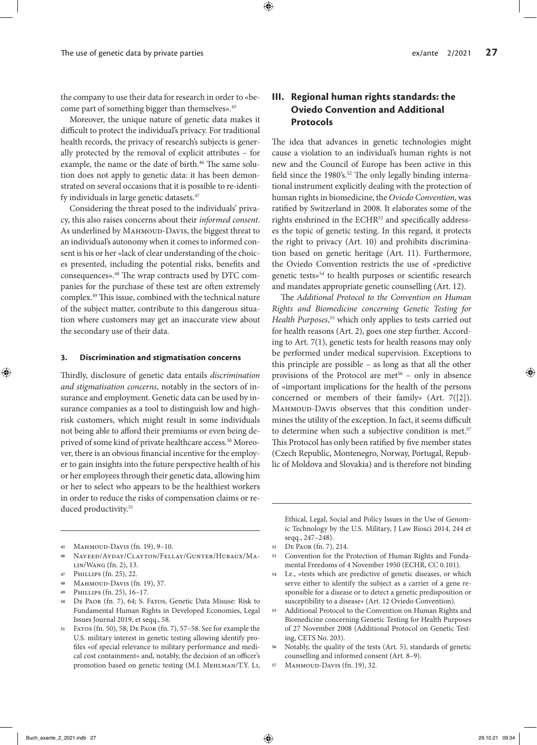the company to use their data for research in order to «become part of something bigger than themselves».<sup>45</sup>

Moreover, the unique nature of genetic data makes it difficult to protect the individual's privacy. For traditional health records, the privacy of research's subjects is generally protected by the removal of explicit attributes – for example, the name or the date of birth.<sup>46</sup> The same solution does not apply to genetic data: it has been demonstrated on several occasions that it is possible to re-identify individuals in large genetic datasets.<sup>47</sup>

Considering the threat posed to the individuals' privacy, this also raises concerns about their *informed consent*. As underlined by MAHMOUD-DAVIS, the biggest threat to an individual's autonomy when it comes to informed consent is his or her «lack of clear understanding of the choices presented, including the potential risks, benefits and consequences».48 The wrap contracts used by DTC companies for the purchase of these test are often extremely complex.49 This issue, combined with the technical nature of the subject matter, contribute to this dangerous situation where customers may get an inaccurate view about the secondary use of their data.

#### **3. Discrimination and stigmatisation concerns**

Thirdly, disclosure of genetic data entails *discrimination and stigmatisation concerns*, notably in the sectors of insurance and employment. Genetic data can be used by insurance companies as a tool to distinguish low and highrisk customers, which might result in some individuals not being able to afford their premiums or even being deprived of some kind of private healthcare access.<sup>50</sup> Moreover, there is an obvious financial incentive for the employer to gain insights into the future perspective health of his or her employees through their genetic data, allowing him or her to select who appears to be the healthiest workers in order to reduce the risks of compensation claims or reduced productivity.<sup>51</sup>

- **<sup>49</sup>** Phillips (fn. 25), 16–17.
- **<sup>50</sup>** De Paor (fn. 7), 64; S. Fatos, Genetic Data Misuse: Risk to Fundamental Human Rights in Developed Economies, Legal Issues Journal 2019, et seqq., 58.
- **<sup>51</sup>** Fatos (fn. 50), 58; De Paor (fn. 7), 57–58. See for example the U.S. military interest in genetic testing allowing identify profiles «of special relevance to military performance and medical cost containment» and, notably, the decision of an officer's promotion based on genetic testing (M.J. Mehlman/T.Y. Li,

# **III. Regional human rights standards: the Oviedo Convention and Additional Protocols**

The idea that advances in genetic technologies might cause a violation to an individual's human rights is not new and the Council of Europe has been active in this field since the 1980's.<sup>52</sup> The only legally binding international instrument explicitly dealing with the protection of human rights in biomedicine, the *Oviedo Convention*, was ratified by Switzerland in 2008. It elaborates some of the rights enshrined in the ECHR<sup>53</sup> and specifically addresses the topic of genetic testing. In this regard, it protects the right to privacy (Art. 10) and prohibits discrimination based on genetic heritage (Art. 11). Furthermore, the Oviedo Convention restricts the use of «predictive genetic tests»54 to health purposes or scientific research and mandates appropriate genetic counselling (Art. 12).

The *Additional Protocol to the Convention on Human Rights and Biomedicine concerning Genetic Testing for Health Purposes*, 55 which only applies to tests carried out for health reasons (Art. 2), goes one step further. According to Art. 7(1), genetic tests for health reasons may only be performed under medical supervision. Exceptions to this principle are possible – as long as that all the other provisions of the Protocol are met<sup>56</sup> - only in absence of «important implications for the health of the persons concerned or members of their family» (Art. 7([2]). MAHMOUD-DAVIS observes that this condition undermines the utility of the exception. In fact, it seems difficult to determine when such a subjective condition is met.<sup>57</sup> This Protocol has only been ratified by five member states (Czech Republic, Montenegro, Norway, Portugal, Republic of Moldova and Slovakia) and is therefore not binding

Ethical, Legal, Social and Policy Issues in the Use of Genomic Technology by the U.S. Military, J Law Biosci 2014, 244 et seqq., 247–248).

- **<sup>53</sup>** Convention for the Protection of Human Rights and Fundamental Freedoms of 4 November 1950 (ECHR, CC 0.101).
- **<sup>54</sup>** I.e., «tests which are predictive of genetic diseases, or which serve either to identify the subject as a carrier of a gene responsible for a disease or to detect a genetic predisposition or susceptibility to a disease» (Art. 12 Oviedo Convention).
- **<sup>55</sup>** Additional Protocol to the Convention on Human Rights and Biomedicine concerning Genetic Testing for Health Purposes of 27 November 2008 (Additional Protocol on Genetic Testing, CETS No. 203).
- **<sup>56</sup>** Notably, the quality of the tests (Art. 5), standards of genetic counselling and informed consent (Art. 8–9).
- **<sup>57</sup>** Mahmoud-Davis (fn. 19), 32.

**<sup>45</sup>** Mahmoud-Davis (fn. 19), 9–10.

**<sup>46</sup>** Naveed/Ayday/Clayton/Fellay/Gunter/Hubaux/Malin/Wang (fn. 2), 13.

**<sup>47</sup>** Phillips (fn. 25), 22.

**<sup>48</sup>** Mahmoud-Davis (fn. 19), 37.

**<sup>52</sup>** De Paor (fn. 7), 214.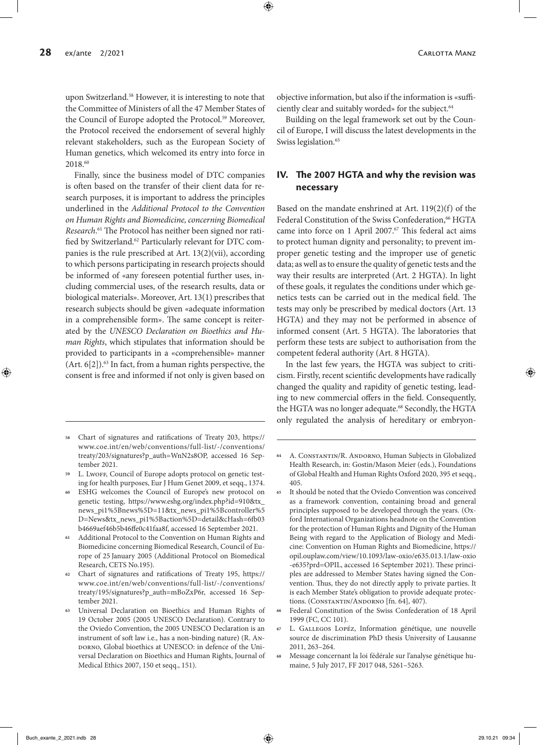upon Switzerland.58 However, it is interesting to note that the Committee of Ministers of all the 47 Member States of the Council of Europe adopted the Protocol.<sup>59</sup> Moreover, the Protocol received the endorsement of several highly relevant stakeholders, such as the European Society of Human genetics, which welcomed its entry into force in 2018.60

Finally, since the business model of DTC companies is often based on the transfer of their client data for research purposes, it is important to address the principles underlined in the *Additional Protocol to the Convention on Human Rights and Biomedicine, concerning Biomedical Research*. 61 The Protocol has neither been signed nor ratified by Switzerland.62 Particularly relevant for DTC companies is the rule prescribed at Art. 13(2)(vii), according to which persons participating in research projects should be informed of «any foreseen potential further uses, including commercial uses, of the research results, data or biological materials». Moreover, Art. 13(1) prescribes that research subjects should be given «adequate information in a comprehensible form». The same concept is reiterated by the *UNESCO Declaration on Bioethics and Human Rights*, which stipulates that information should be provided to participants in a «comprehensible» manner (Art.  $6[2]$ ).<sup>63</sup> In fact, from a human rights perspective, the consent is free and informed if not only is given based on

- **<sup>58</sup>** Chart of signatures and ratifications of Treaty 203, https:// www.coe.int/en/web/conventions/full-list/-/conventions/ treaty/203/signatures?p\_auth=WnN2s8OP, accessed 16 September 2021.
- **<sup>59</sup>** L. Lwoff, Council of Europe adopts protocol on genetic testing for health purposes, Eur J Hum Genet 2009, et seqq., 1374.
- **<sup>60</sup>** ESHG welcomes the Council of Europe's new protocol on genetic testing, https://www.eshg.org/index.php?id=910&tx\_ news\_pi1%5Bnews%5D=11&tx\_news\_pi1%5Bcontroller%5 D=News&tx\_news\_pi1%5Baction%5D=detail&cHash=6fb03 b4669aef46b5b46ffe0c41faa8f, accessed 16 September 2021.
- **<sup>61</sup>** Additional Protocol to the Convention on Human Rights and Biomedicine concerning Biomedical Research, Council of Europe of 25 January 2005 (Additional Protocol on Biomedical Research, CETS No.195).
- **<sup>62</sup>** Chart of signatures and ratifications of Treaty 195, https:// www.coe.int/en/web/conventions/full-list/-/conventions/ treaty/195/signatures?p\_auth=mBoZxP6r, accessed 16 September 2021.
- **<sup>63</sup>** Universal Declaration on Bioethics and Human Rights of 19 October 2005 (2005 UNESCO Declaration). Contrary to the Oviedo Convention, the 2005 UNESCO Declaration is an instrument of soft law i.e., has a non-binding nature) (R. An-DORNO, Global bioethics at UNESCO: in defence of the Universal Declaration on Bioethics and Human Rights, Journal of Medical Ethics 2007, 150 et seqq., 151).

objective information, but also if the information is «sufficiently clear and suitably worded» for the subject.<sup>64</sup>

Building on the legal framework set out by the Council of Europe, I will discuss the latest developments in the Swiss legislation.<sup>65</sup>

# **IV. The 2007 HGTA and why the revision was necessary**

Based on the mandate enshrined at Art. 119(2)(f) of the Federal Constitution of the Swiss Confederation,<sup>66</sup> HGTA came into force on 1 April 2007.<sup>67</sup> This federal act aims to protect human dignity and personality; to prevent improper genetic testing and the improper use of genetic data; as well as to ensure the quality of genetic tests and the way their results are interpreted (Art. 2 HGTA). In light of these goals, it regulates the conditions under which genetics tests can be carried out in the medical field. The tests may only be prescribed by medical doctors (Art. 13 HGTA) and they may not be performed in absence of informed consent (Art. 5 HGTA). The laboratories that perform these tests are subject to authorisation from the competent federal authority (Art. 8 HGTA).

In the last few years, the HGTA was subject to criticism. Firstly, recent scientific developments have radically changed the quality and rapidity of genetic testing, leading to new commercial offers in the field. Consequently, the HGTA was no longer adequate.<sup>68</sup> Secondly, the HGTA only regulated the analysis of hereditary or embryon-

- **<sup>64</sup>** A. Constantin/R. Andorno, Human Subjects in Globalized Health Research, in: Gostin/Mason Meier (eds.), Foundations of Global Health and Human Rights Oxford 2020, 395 et seqq., 405.
- **<sup>65</sup>** It should be noted that the Oviedo Convention was conceived as a framework convention, containing broad and general principles supposed to be developed through the years. (Oxford International Organizations headnote on the Convention for the protection of Human Rights and Dignity of the Human Being with regard to the Application of Biology and Medicine: Convention on Human Rights and Biomedicine, https:// opil.ouplaw.com/view/10.1093/law-oxio/e635.013.1/law-oxio -e635?prd=OPIL, accessed 16 September 2021). These principles are addressed to Member States having signed the Convention. Thus, they do not directly apply to private parties. It is each Member State's obligation to provide adequate protections. (CONSTANTIN/ANDORNO [fn. 64], 407).
- **<sup>66</sup>** Federal Constitution of the Swiss Confederation of 18 April 1999 (FC, CC 101).
- **<sup>67</sup>** L. Gallegos Lopéz, Information génétique, une nouvelle source de discrimination PhD thesis University of Lausanne 2011, 263–264.
- **<sup>68</sup>** Message concernant la loi fédérale sur l'analyse génétique humaine, 5 July 2017, FF 2017 048, 5261–5263.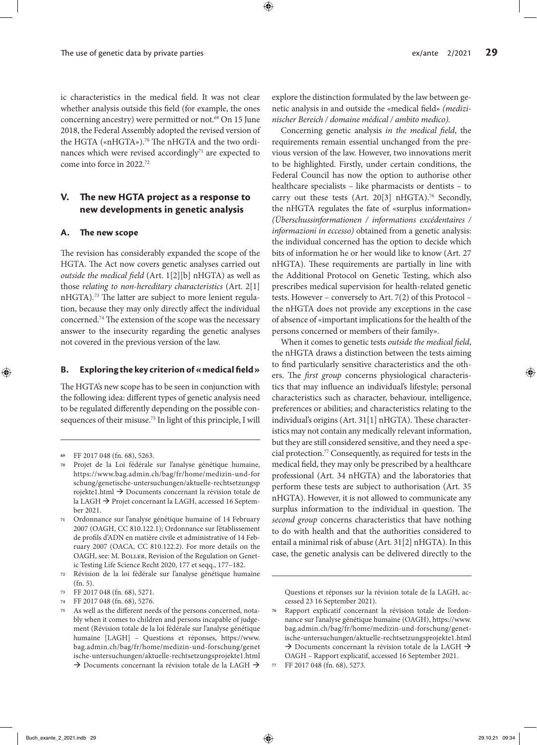ic characteristics in the medical field. It was not clear whether analysis outside this field (for example, the ones concerning ancestry) were permitted or not.<sup>69</sup> On 15 June 2018, the Federal Assembly adopted the revised version of the HGTA («nHGTA»).<sup>70</sup> The nHGTA and the two ordinances which were revised accordingly<sup>71</sup> are expected to come into force in 2022.72

# **V. The new HGTA project as a response to new developments in genetic analysis**

#### **A. The new scope**

The revision has considerably expanded the scope of the HGTA. The Act now covers genetic analyses carried out *outside the medical field* (Art. 1[2][b] nHGTA) as well as those *relating to non-hereditary characteristics* (Art. 2[1] nHGTA)*. <sup>73</sup>* The latter are subject to more lenient regulation, because they may only directly affect the individual concerned.74 The extension of the scope was the necessary answer to the insecurity regarding the genetic analyses not covered in the previous version of the law.

#### **B. Exploring the key criterion of «medical field»**

The HGTA's new scope has to be seen in conjunction with the following idea: different types of genetic analysis need to be regulated differently depending on the possible consequences of their misuse.75 In light of this principle, I will explore the distinction formulated by the law between genetic analysis in and outside the «medical field» *(medizinischer Bereich / domaine médical / ambito medico).*

Concerning genetic analysis *in the medical field*, the requirements remain essential unchanged from the previous version of the law. However, two innovations merit to be highlighted. Firstly, under certain conditions, the Federal Council has now the option to authorise other healthcare specialists – like pharmacists or dentists – to carry out these tests (Art. 20[3] nHGTA).<sup>76</sup> Secondly, the nHGTA regulates the fate of «surplus information» *(Überschussinformationen / informations excédentaires / informazioni in eccesso)* obtained from a genetic analysis: the individual concerned has the option to decide which bits of information he or her would like to know (Art. 27 nHGTA). These requirements are partially in line with the Additional Protocol on Genetic Testing, which also prescribes medical supervision for health-related genetic tests. However – conversely to Art. 7(2) of this Protocol – the nHGTA does not provide any exceptions in the case of absence of «important implications for the health of the persons concerned or members of their family».

When it comes to genetic tests *outside the medical field*, the nHGTA draws a distinction between the tests aiming to find particularly sensitive characteristics and the others. The *first group* concerns physiological characteristics that may influence an individual's lifestyle; personal characteristics such as character, behaviour, intelligence, preferences or abilities; and characteristics relating to the individual's origins (Art. 31[1] nHGTA). These characteristics may not contain any medically relevant information, but they are still considered sensitive, and they need a special protection.77 Consequently, as required for tests in the medical field, they may only be prescribed by a healthcare professional (Art. 34 nHGTA) and the laboratories that perform these tests are subject to authorisation (Art. 35 nHGTA). However, it is not allowed to communicate any surplus information to the individual in question. The *second group* concerns characteristics that have nothing to do with health and that the authorities considered to entail a minimal risk of abuse (Art. 31[2] nHGTA). In this case, the genetic analysis can be delivered directly to the

Questions et réponses sur la révision totale de la LAGH, accessed 23 16 September 2021).

**<sup>69</sup>** FF 2017 048 (fn. 68), 5263.

**<sup>70</sup>** Projet de la Loi fédérale sur l'analyse génétique humaine, https://www.bag.admin.ch/bag/fr/home/medizin-und-for schung/genetische-untersuchungen/aktuelle-rechtsetzungsp rojekte1.html à Documents concernant la révision totale de la LAGH → Projet concernant la LAGH, accessed 16 September 2021.

**<sup>71</sup>** Ordonnance sur l'analyse génétique humaine of 14 February 2007 (OAGH, CC 810.122.1); Ordonnance sur l'établissement de profils d'ADN en matière civile et administrative of 14 February 2007 (OACA, CC 810.122.2). For more details on the OAGH, see: M. BOLLER, Revision of the Regulation on Genetic Testing Life Science Recht 2020, 177 et seqq., 177–182.

**<sup>72</sup>** Révision de la loi fédérale sur l'analyse génétique humaine (fn. 5).

**<sup>73</sup>** FF 2017 048 (fn. 68), 5271.

**<sup>74</sup>** FF 2017 048 (fn. 68), 5276.

**<sup>75</sup>** As well as the different needs of the persons concerned, notably when it comes to children and persons incapable of judgement (Révision totale de la loi fédérale sur l'analyse génétique humaine [LAGH] – Questions et réponses, https://www. bag.admin.ch/bag/fr/home/medizin-und-forschung/genet ische-untersuchungen/aktuelle-rechtsetzungsprojekte1.html  $\rightarrow$  Documents concernant la révision totale de la LAGH  $\rightarrow$ 

**<sup>76</sup>** Rapport explicatif concernant la révision totale de l'ordonnance sur l'analyse génétique humaine (OAGH), https://www. bag.admin.ch/bag/fr/home/medizin-und-forschung/genetische-untersuchungen/aktuelle-rechtsetzungsprojekte1.html  $\rightarrow$  Documents concernant la révision totale de la LAGH  $\rightarrow$ OAGH – Rapport explicatif, accessed 16 September 2021.

**<sup>77</sup>** FF 2017 048 (fn. 68), 5273.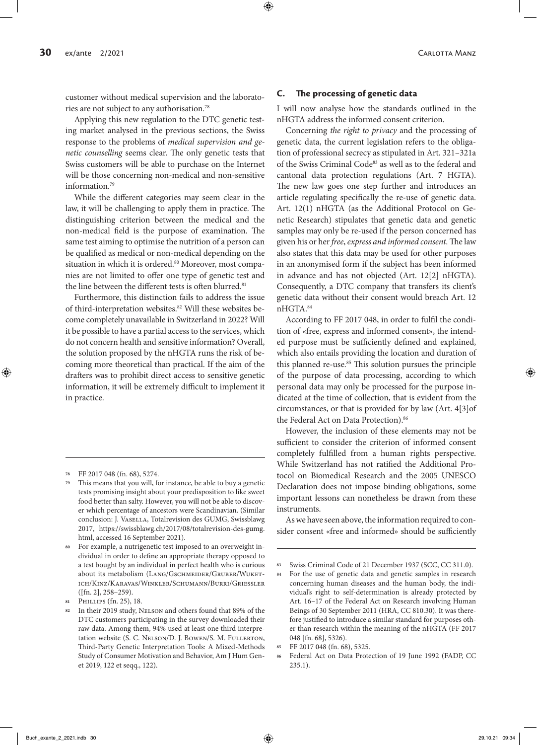customer without medical supervision and the laboratories are not subject to any authorisation.78

Applying this new regulation to the DTC genetic testing market analysed in the previous sections, the Swiss response to the problems of *medical supervision and genetic counselling* seems clear. The only genetic tests that Swiss customers will be able to purchase on the Internet will be those concerning non-medical and non-sensitive information.79

While the different categories may seem clear in the law, it will be challenging to apply them in practice. The distinguishing criterion between the medical and the non-medical field is the purpose of examination. The same test aiming to optimise the nutrition of a person can be qualified as medical or non-medical depending on the situation in which it is ordered.<sup>80</sup> Moreover, most companies are not limited to offer one type of genetic test and the line between the different tests is often blurred.<sup>81</sup>

Furthermore, this distinction fails to address the issue of third-interpretation websites.82 Will these websites become completely unavailable in Switzerland in 2022? Will it be possible to have a partial access to the services, which do not concern health and sensitive information? Overall, the solution proposed by the nHGTA runs the risk of becoming more theoretical than practical. If the aim of the drafters was to prohibit direct access to sensitive genetic information, it will be extremely difficult to implement it in practice.

#### **C. The processing of genetic data**

I will now analyse how the standards outlined in the nHGTA address the informed consent criterion.

Concerning *the right to privacy* and the processing of genetic data, the current legislation refers to the obligation of professional secrecy as stipulated in Art. 321–321a of the Swiss Criminal Code<sup>83</sup> as well as to the federal and cantonal data protection regulations (Art. 7 HGTA). The new law goes one step further and introduces an article regulating specifically the re-use of genetic data. Art. 12(1) nHGTA (as the Additional Protocol on Genetic Research) stipulates that genetic data and genetic samples may only be re-used if the person concerned has given his or her *free*, *express and informed consent*. The law also states that this data may be used for other purposes in an anonymised form if the subject has been informed in advance and has not objected (Art. 12[2] nHGTA). Consequently, a DTC company that transfers its client's genetic data without their consent would breach Art. 12 nHGTA.84

According to FF 2017 048, in order to fulfil the condition of «free, express and informed consent», the intended purpose must be sufficiently defined and explained, which also entails providing the location and duration of this planned re-use.<sup>85</sup> This solution pursues the principle of the purpose of data processing, according to which personal data may only be processed for the purpose indicated at the time of collection, that is evident from the circumstances, or that is provided for by law (Art. 4[3]of the Federal Act on Data Protection).<sup>86</sup>

However, the inclusion of these elements may not be sufficient to consider the criterion of informed consent completely fulfilled from a human rights perspective. While Switzerland has not ratified the Additional Protocol on Biomedical Research and the 2005 UNESCO Declaration does not impose binding obligations, some important lessons can nonetheless be drawn from these instruments.

As we have seen above, the information required to consider consent «free and informed» should be sufficiently

**<sup>78</sup>** FF 2017 048 (fn. 68), 5274.

**<sup>79</sup>** This means that you will, for instance, be able to buy a genetic tests promising insight about your predisposition to like sweet food better than salty. However, you will not be able to discover which percentage of ancestors were Scandinavian. (Similar conclusion: J. VASELLA, Totalrevision des GUMG, Swissblawg 2017, https://swissblawg.ch/2017/08/totalrevision-des-gumg. html, accessed 16 September 2021).

For example, a nutrigenetic test imposed to an overweight individual in order to define an appropriate therapy opposed to a test bought by an individual in perfect health who is curious about its metabolism (LANG/GSCHMEIDER/GRUBER/WUKETich/Kinz/Karavas/Winkler/Schumann/Burri/Griessler ([fn. 2], 258–259).

**<sup>81</sup>** Phillips (fn. 25), 18.

**<sup>82</sup>** In their 2019 study, Nelson and others found that 89% of the DTC customers participating in the survey downloaded their raw data. Among them, 94% used at least one third interpretation website (S. C. NELSON/D. J. BOWEN/S. M. FULLERTON, Third-Party Genetic Interpretation Tools: A Mixed-Methods Study of Consumer Motivation and Behavior, Am J Hum Genet 2019, 122 et seqq., 122).

**<sup>83</sup>** Swiss Criminal Code of 21 December 1937 (SCC, CC 311.0).

**<sup>84</sup>** For the use of genetic data and genetic samples in research concerning human diseases and the human body, the individual's right to self-determination is already protected by Art. 16–17 of the Federal Act on Research involving Human Beings of 30 September 2011 (HRA, CC 810.30). It was therefore justified to introduce a similar standard for purposes other than research within the meaning of the nHGTA (FF 2017 048 [fn. 68], 5326).

**<sup>85</sup>** FF 2017 048 (fn. 68), 5325.

**<sup>86</sup>** Federal Act on Data Protection of 19 June 1992 (FADP, CC 235.1).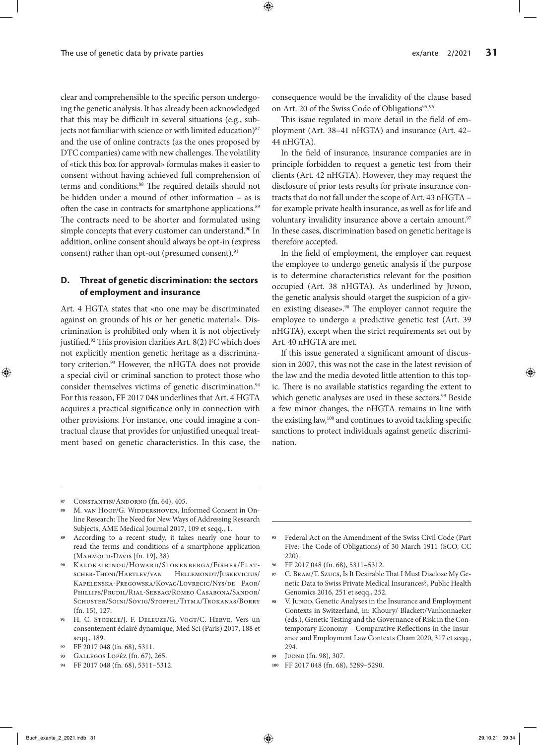clear and comprehensible to the specific person undergoing the genetic analysis. It has already been acknowledged that this may be difficult in several situations (e.g., subjects not familiar with science or with limited education) $87$ and the use of online contracts (as the ones proposed by DTC companies) came with new challenges. The volatility of «tick this box for approval» formulas makes it easier to consent without having achieved full comprehension of terms and conditions.<sup>88</sup> The required details should not be hidden under a mound of other information – as is often the case in contracts for smartphone applications.<sup>89</sup> The contracts need to be shorter and formulated using simple concepts that every customer can understand.<sup>90</sup> In addition, online consent should always be opt-in (express consent) rather than opt-out (presumed consent).<sup>91</sup>

# **D. Threat of genetic discrimination: the sectors of employment and insurance**

Art. 4 HGTA states that «no one may be discriminated against on grounds of his or her genetic material». Discrimination is prohibited only when it is not objectively justified.<sup>92</sup> This provision clarifies Art. 8(2) FC which does not explicitly mention genetic heritage as a discriminatory criterion.<sup>93</sup> However, the nHGTA does not provide a special civil or criminal sanction to protect those who consider themselves victims of genetic discrimination.<sup>94</sup> For this reason, FF 2017 048 underlines that Art. 4 HGTA acquires a practical significance only in connection with other provisions. For instance, one could imagine a contractual clause that provides for unjustified unequal treatment based on genetic characteristics. In this case, the

consequence would be the invalidity of the clause based on Art. 20 of the Swiss Code of Obligations<sup>95</sup>.<sup>96</sup>

This issue regulated in more detail in the field of employment (Art. 38–41 nHGTA) and insurance (Art. 42– 44 nHGTA).

In the field of insurance, insurance companies are in principle forbidden to request a genetic test from their clients (Art. 42 nHGTA). However, they may request the disclosure of prior tests results for private insurance contracts that do not fall under the scope of Art. 43 nHGTA – for example private health insurance, as well as for life and voluntary invalidity insurance above a certain amount.<sup>97</sup> In these cases, discrimination based on genetic heritage is therefore accepted.

In the field of employment, the employer can request the employee to undergo genetic analysis if the purpose is to determine characteristics relevant for the position occupied (Art. 38 nHGTA). As underlined by JUNOD, the genetic analysis should «target the suspicion of a given existing disease».<sup>98</sup> The employer cannot require the employee to undergo a predictive genetic test (Art. 39 nHGTA), except when the strict requirements set out by Art. 40 nHGTA are met.

If this issue generated a significant amount of discussion in 2007, this was not the case in the latest revision of the law and the media devoted little attention to this topic. There is no available statistics regarding the extent to which genetic analyses are used in these sectors.<sup>99</sup> Beside a few minor changes, the nHGTA remains in line with the existing law,<sup>100</sup> and continues to avoid tackling specific sanctions to protect individuals against genetic discrimination.

**<sup>87</sup>** Constantin/Andorno (fn. 64), 405.

- M. van Hoof/G. WIDDERSHOVEN, Informed Consent in Online Research: The Need for New Ways of Addressing Research Subjects, AME Medical Journal 2017, 109 et seqq., 1.
- **<sup>89</sup>** According to a recent study, it takes nearly one hour to read the terms and conditions of a smartphone application (Mahmoud-Davis [fn. 19], 38).
- **<sup>90</sup>** Kalokairinou/Howard/Slokenberga/Fisher/Flatscher-Thoni/Hartlev/van Hellemondt/Juskevicius/ Kapelenska-Pregowska/Kovac/Lovrecic/Nys/de Paor/ Phillips/Prudil/Rial-Sebbag/Romeo Casabona/Sandor/ Schuster/Soini/Sovig/Stoffel/Titma/Trokanas/Borry (fn. 15), 127.
- **<sup>91</sup>** H. C. Stoekle/J. F. Deleuze/G. Vogt/C. Herve, Vers un consentement éclairé dynamique, Med Sci (Paris) 2017, 188 et seqq., 189.
- **<sup>92</sup>** FF 2017 048 (fn. 68), 5311.
- **<sup>93</sup>** Gallegos Lopéz (fn. 67), 265.
- **<sup>94</sup>** FF 2017 048 (fn. 68), 5311–5312.
- **<sup>95</sup>** Federal Act on the Amendment of the Swiss Civil Code (Part Five: The Code of Obligations) of 30 March 1911 (SCO, CC 220).
- **<sup>96</sup>** FF 2017 048 (fn. 68), 5311–5312.
- **<sup>97</sup>** C. Bram/T. Szucs, Is It Desirable That I Must Disclose My Genetic Data to Swiss Private Medical Insurances?, Public Health Genomics 2016, 251 et seqq., 252.
- 98 V. Juno**D**, Genetic Analyses in the Insurance and Employment Contexts in Switzerland, in: Khoury/ Blackett/Vanhonnaeker (eds.), Genetic Testing and the Governance of Risk in the Contemporary Economy – Comparative Reflections in the Insurance and Employment Law Contexts Cham 2020, 317 et seqq., 294.
- **<sup>99</sup>** Juond (fn. 98), 307.
- **<sup>100</sup>** FF 2017 048 (fn. 68), 5289–5290.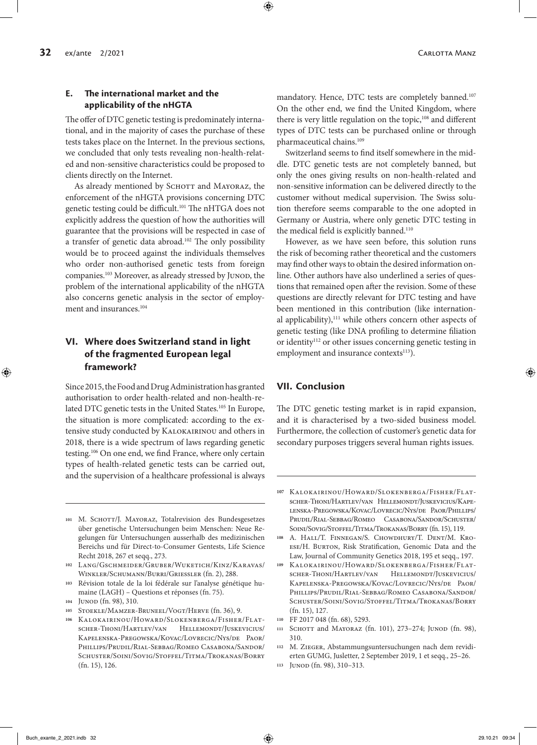# **E. The international market and the applicability of the nHGTA**

The offer of DTC genetic testing is predominately international, and in the majority of cases the purchase of these tests takes place on the Internet. In the previous sections, we concluded that only tests revealing non-health-related and non-sensitive characteristics could be proposed to clients directly on the Internet.

As already mentioned by SCHOTT and MAYORAZ, the enforcement of the nHGTA provisions concerning DTC genetic testing could be difficult.101 The nHTGA does not explicitly address the question of how the authorities will guarantee that the provisions will be respected in case of a transfer of genetic data abroad.102 The only possibility would be to proceed against the individuals themselves who order non-authorised genetic tests from foreign companies.<sup>103</sup> Moreover, as already stressed by JUNOD, the problem of the international applicability of the nHGTA also concerns genetic analysis in the sector of employment and insurances.<sup>104</sup>

# **VI. Where does Switzerland stand in light of the fragmented European legal framework?**

Since 2015, the Food and Drug Administration has granted authorisation to order health-related and non-health-related DTC genetic tests in the United States.105 In Europe, the situation is more complicated: according to the extensive study conducted by Kalokairinou and others in 2018, there is a wide spectrum of laws regarding genetic testing.106 On one end, we find France, where only certain types of health-related genetic tests can be carried out, and the supervision of a healthcare professional is always

- 101 M. SCHOTT/J. MAYORAZ, Totalrevision des Bundesgesetzes über genetische Untersuchungen beim Menschen: Neue Regelungen für Untersuchungen ausserhalb des medizinischen Bereichs und für Direct-to-Consumer Gentests, Life Science Recht 2018, 267 et seqq., 273.
- **<sup>102</sup>** Lang/Gschmeider/Gruber/Wuketich/Kinz/Karavas/ Winkler/Schumann/Burri/Griessler (fn. 2), 288.
- **<sup>103</sup>** Révision totale de la loi fédérale sur l'analyse génétique humaine (LAGH) – Questions et réponses (fn. 75).
- 104 JUNOD (fn. 98), 310.
- **<sup>105</sup>** Stoekle/Mamzer-Bruneel/Vogt/Herve (fn. 36), 9.
- **<sup>106</sup>** Kalokairinou/Howard/Slokenberga/Fisher/Flatscher-Thoni/Hartlev/van Hellemondt/Juskevicius/ Kapelenska-Pregowska/Kovac/Lovrecic/Nys/de Paor/ Phillips/Prudil/Rial-Sebbag/Romeo Casabona/Sandor/ Schuster/Soini/Sovig/Stoffel/Titma/Trokanas/Borry (fn. 15), 126.

mandatory. Hence, DTC tests are completely banned.<sup>107</sup> On the other end, we find the United Kingdom, where there is very little regulation on the topic,<sup>108</sup> and different types of DTC tests can be purchased online or through pharmaceutical chains.109

Switzerland seems to find itself somewhere in the middle. DTC genetic tests are not completely banned, but only the ones giving results on non-health-related and non-sensitive information can be delivered directly to the customer without medical supervision. The Swiss solution therefore seems comparable to the one adopted in Germany or Austria, where only genetic DTC testing in the medical field is explicitly banned.<sup>110</sup>

However, as we have seen before, this solution runs the risk of becoming rather theoretical and the customers may find other ways to obtain the desired information online. Other authors have also underlined a series of questions that remained open after the revision. Some of these questions are directly relevant for DTC testing and have been mentioned in this contribution (like international applicability),<sup>111</sup> while others concern other aspects of genetic testing (like DNA profiling to determine filiation or identity<sup>112</sup> or other issues concerning genetic testing in employment and insurance contexts<sup>113</sup>).

# **VII. Conclusion**

The DTC genetic testing market is in rapid expansion, and it is characterised by a two-sided business model. Furthermore, the collection of customer's genetic data for secondary purposes triggers several human rights issues.

- **<sup>110</sup>** FF 2017 048 (fn. 68), 5293.
- 111 SCHOTT and MAYORAZ (fn. 101), 273-274; JUNOD (fn. 98), 310.
- **<sup>112</sup>** M. Zieger, Abstammungsuntersuchungen nach dem revidierten GUMG, Jusletter, 2 September 2019, 1 et seqq., 25–26.
- **<sup>113</sup>** Junod (fn. 98), 310–313.

**<sup>107</sup>** Kalokairinou/Howard/Slokenberga/Fisher/Flatscher-Thoni/Hartlev/van Hellemondt/Juskevicius/Kapelenska-Pregowska/Kovac/Lovrecic/Nys/de Paor/Phillips/ Prudil/Rial-Sebbag/Romeo Casabona/Sandor/Schuster/ Soini/Sovig/Stoffel/Titma/Trokanas/Borry (fn. 15), 119.

**<sup>108</sup>** A. Hall/T. Finnegan/S. Chowdhury/T. Dent/M. Kroese/H. Burton, Risk Stratification, Genomic Data and the Law, Journal of Community Genetics 2018, 195 et seqq., 197.

**<sup>109</sup>** Kalokairinou/Howard/Slokenberga/Fisher/Flatscher-Thoni/Hartlev/van Hellemondt/Juskevicius/ Kapelenska-Pregowska/Kovac/Lovrecic/Nys/de Paor/ Phillips/Prudil/Rial-Sebbag/Romeo Casabona/Sandor/ Schuster/Soini/Sovig/Stoffel/Titma/Trokanas/Borry (fn. 15), 127.